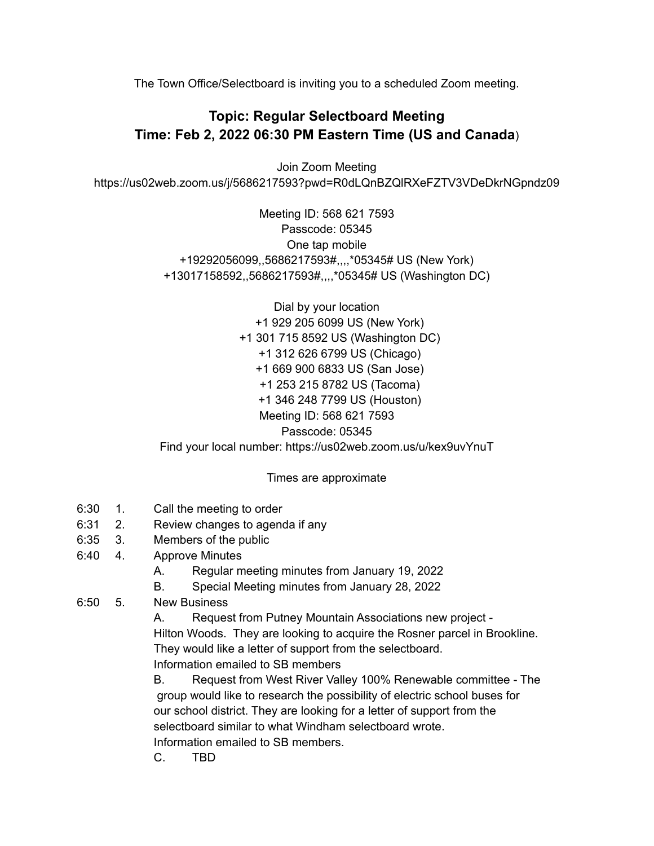The Town Office/Selectboard is inviting you to a scheduled Zoom meeting.

## **Topic: Regular Selectboard Meeting Time: Feb 2, 2022 06:30 PM Eastern Time (US and Canada**)

Join Zoom Meeting https://us02web.zoom.us/j/5686217593?pwd=R0dLQnBZQlRXeFZTV3VDeDkrNGpndz09

> Meeting ID: 568 621 7593 Passcode: 05345 One tap mobile +19292056099,,5686217593#,,,,\*05345# US (New York) +13017158592,,5686217593#,,,,\*05345# US (Washington DC)

Dial by your location +1 929 205 6099 US (New York) +1 301 715 8592 US (Washington DC) +1 312 626 6799 US (Chicago) +1 669 900 6833 US (San Jose) +1 253 215 8782 US (Tacoma) +1 346 248 7799 US (Houston) Meeting ID: 568 621 7593 Passcode: 05345 Find your local number: https://us02web.zoom.us/u/kex9uvYnuT

Times are approximate

- 6:30 1. Call the meeting to order
- 6:31 2. Review changes to agenda if any
- 6:35 3. Members of the public
- 6:40 4. Approve Minutes
	- A. Regular meeting minutes from January 19, 2022
	- B. Special Meeting minutes from January 28, 2022
- 6:50 5. New Business

A. Request from Putney Mountain Associations new project - Hilton Woods. They are looking to acquire the Rosner parcel in Brookline. They would like a letter of support from the selectboard. Information emailed to SB members

B. Request from West River Valley 100% Renewable committee - The group would like to research the possibility of electric school buses for our school district. They are looking for a letter of support from the selectboard similar to what Windham selectboard wrote. Information emailed to SB members.

C. TBD